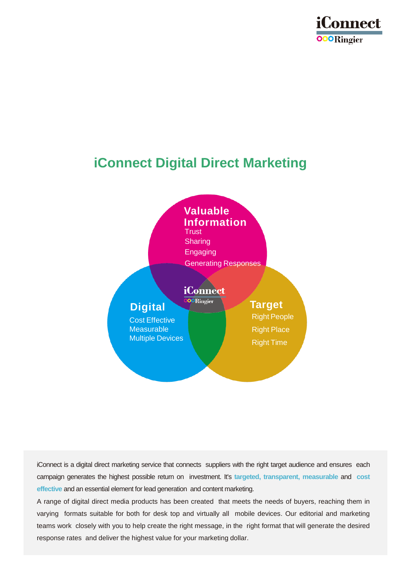

# **iConnect Digital Direct Marketing**



iConnect is a digital direct marketing service that connects suppliers with the right target audience and ensures each campaign generates the highest possible return on investment. It's **targeted, transparent, measurable** and **cost effective** and an essential element for lead generation and content marketing.

A range of digital direct media products has been created that meets the needs of buyers, reaching them in varying formats suitable for both for desk top and virtually all mobile devices. Our editorial and marketing teams work closely with you to help create the right message, in the right format that will generate the desired response rates and deliver the highest value for your marketing dollar.